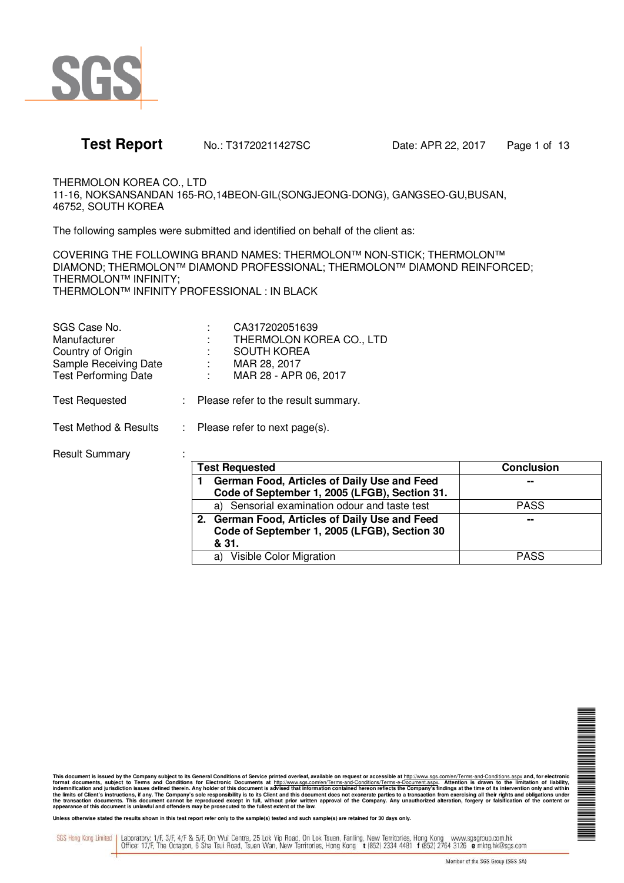

**Test Report** No.: T31720211427SC Date: APR 22, 2017 Page 1 of 13

THERMOLON KOREA CO., LTD 11-16, NOKSANSANDAN 165-RO,14BEON-GIL(SONGJEONG-DONG), GANGSEO-GU,BUSAN, 46752, SOUTH KOREA

The following samples were submitted and identified on behalf of the client as:

COVERING THE FOLLOWING BRAND NAMES: THERMOLON™ NON-STICK; THERMOLON™ DIAMOND; THERMOLON™ DIAMOND PROFESSIONAL; THERMOLON™ DIAMOND REINFORCED; THERMOLON™ INFINITY; THERMOLON™ INFINITY PROFESSIONAL : IN BLACK

| SGS Case No.                | CA317202051639           |
|-----------------------------|--------------------------|
| Manufacturer                | THERMOLON KOREA CO., LTD |
| Country of Origin           | <b>SOUTH KOREA</b>       |
| Sample Receiving Date       | MAR 28, 2017             |
| <b>Test Performing Date</b> | MAR 28 - APR 06, 2017    |
|                             |                          |

Test Requested : Please refer to the result summary.

Test Method & Results : Please refer to next page(s).

### Result Summary :

| <b>Test Requested</b>                                                                                   | <b>Conclusion</b> |
|---------------------------------------------------------------------------------------------------------|-------------------|
| German Food, Articles of Daily Use and Feed<br>Code of September 1, 2005 (LFGB), Section 31.            | $\sim$            |
| a) Sensorial examination odour and taste test                                                           | <b>PASS</b>       |
| 2. German Food, Articles of Daily Use and Feed<br>Code of September 1, 2005 (LFGB), Section 30<br>& 31. | --                |
| Visible Color Migration<br>a)                                                                           | <b>PASS</b>       |

N NA MARINA NA KARAFARA

This document is issued by the Company subject to its General Conditions of Service printed overleaf, available on request or accessible at http://www.sgs.com/en/Terms-and-Conditions.aspx and, for electronic<br>format documen

Unless otherwise stated the results shown in this test report refer only to the sample(s) tested and such sample(s) are retained for 30 days only.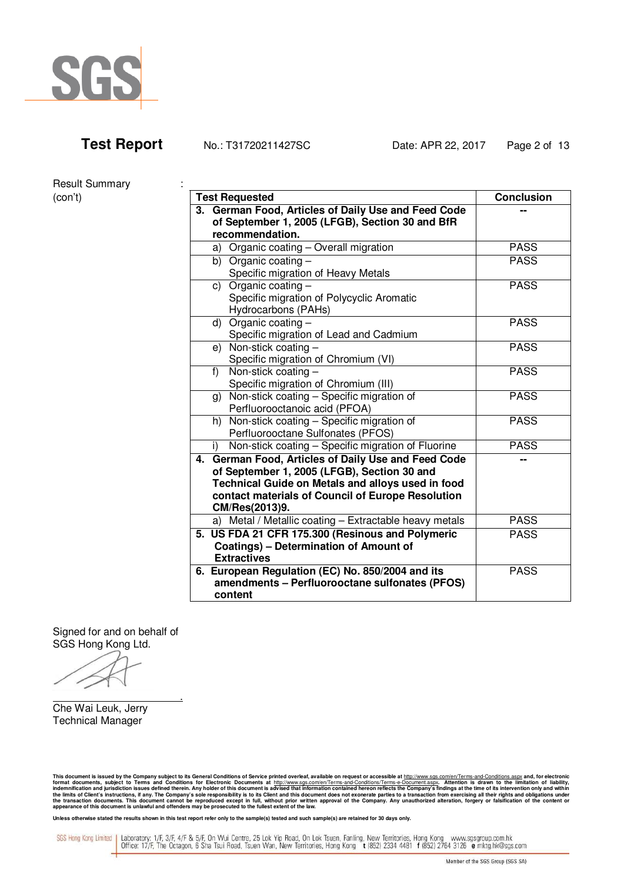

Result Summary :

| Hesult Suffillery |                                                                                                  |                   |
|-------------------|--------------------------------------------------------------------------------------------------|-------------------|
| (con't)           | <b>Test Requested</b>                                                                            | <b>Conclusion</b> |
|                   | 3. German Food, Articles of Daily Use and Feed Code                                              |                   |
|                   | of September 1, 2005 (LFGB), Section 30 and BfR                                                  |                   |
|                   | recommendation.                                                                                  |                   |
|                   | a) Organic coating - Overall migration                                                           | <b>PASS</b>       |
|                   | b) Organic coating $-$                                                                           | <b>PASS</b>       |
|                   | Specific migration of Heavy Metals                                                               |                   |
|                   | c) Organic coating $-$                                                                           | <b>PASS</b>       |
|                   | Specific migration of Polycyclic Aromatic                                                        |                   |
|                   | Hydrocarbons (PAHs)                                                                              |                   |
|                   | d) Organic coating $-$                                                                           | <b>PASS</b>       |
|                   | Specific migration of Lead and Cadmium                                                           |                   |
|                   | e) Non-stick coating $-$                                                                         | <b>PASS</b>       |
|                   | Specific migration of Chromium (VI)                                                              |                   |
|                   | f) Non-stick coating $-$                                                                         | <b>PASS</b>       |
|                   | Specific migration of Chromium (III)                                                             |                   |
|                   | g) Non-stick coating - Specific migration of                                                     | <b>PASS</b>       |
|                   | Perfluorooctanoic acid (PFOA)                                                                    |                   |
|                   | h) Non-stick coating - Specific migration of                                                     | <b>PASS</b>       |
|                   | Perfluorooctane Sulfonates (PFOS)                                                                |                   |
|                   | Non-stick coating - Specific migration of Fluorine<br>i)                                         | <b>PASS</b>       |
|                   | 4. German Food, Articles of Daily Use and Feed Code                                              |                   |
|                   | of September 1, 2005 (LFGB), Section 30 and<br>Technical Guide on Metals and alloys used in food |                   |
|                   | contact materials of Council of Europe Resolution                                                |                   |
|                   | CM/Res(2013)9.                                                                                   |                   |
|                   | a) Metal / Metallic coating - Extractable heavy metals                                           | <b>PASS</b>       |
|                   | 5. US FDA 21 CFR 175.300 (Resinous and Polymeric                                                 | <b>PASS</b>       |
|                   | <b>Coatings) - Determination of Amount of</b>                                                    |                   |
|                   | <b>Extractives</b>                                                                               |                   |
|                   | 6. European Regulation (EC) No. 850/2004 and its                                                 | <b>PASS</b>       |
|                   | amendments - Perfluorooctane sulfonates (PFOS)                                                   |                   |
|                   | content                                                                                          |                   |
|                   |                                                                                                  |                   |

Signed for and on behalf of SGS Hong Kong Ltd.

.

Che Wai Leuk, Jerry Technical Manager

This document is issued by the Company subject to its General Conditions of Service printed overleaf, available on request or accessible at http://www.sgs.com/en/Terms-and-Conditions.aspx and, for electronic<br>format documen

Unless otherwise stated the results shown in this test report refer only to the sample(s) tested and such sample(s) are retained for 30 days only.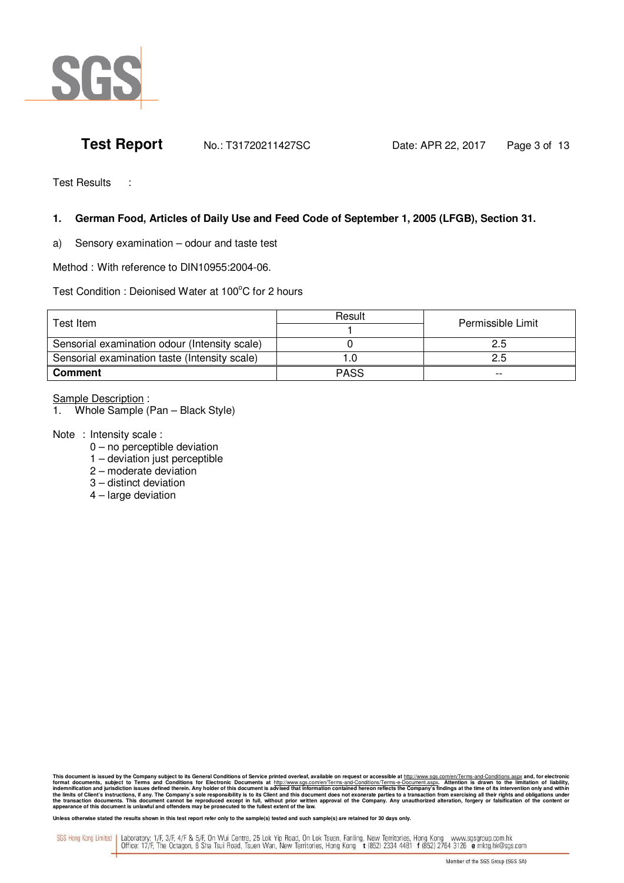

**Test Report** No.: T31720211427SC Date: APR 22, 2017 Page 3 of 13

Test Results :

# **1. German Food, Articles of Daily Use and Feed Code of September 1, 2005 (LFGB), Section 31.**

a) Sensory examination – odour and taste test

Method : With reference to DIN10955:2004-06.

Test Condition : Deionised Water at 100°C for 2 hours

| Test Item.                                    | Result      | Permissible Limit |
|-----------------------------------------------|-------------|-------------------|
|                                               |             |                   |
| Sensorial examination odour (Intensity scale) |             | 2.5               |
| Sensorial examination taste (Intensity scale) |             | 2.5               |
| <b>Comment</b>                                | <b>PASS</b> | $- -$             |

### Sample Description :

1. Whole Sample (Pan – Black Style)

Note : Intensity scale :

- 0 no perceptible deviation
- 1 deviation just perceptible
- 2 moderate deviation
- 3 distinct deviation
- 4 large deviation

This document is issued by the Company subject to its General Conditions of Service printed overleaf, available on request or accessible at http://www.sgs.com/en/Terms-and-Conditions.aspx and, for electronic<br>format documen

Unless otherwise stated the results shown in this test report refer only to the sample(s) tested and such sample(s) are retained for 30 days only.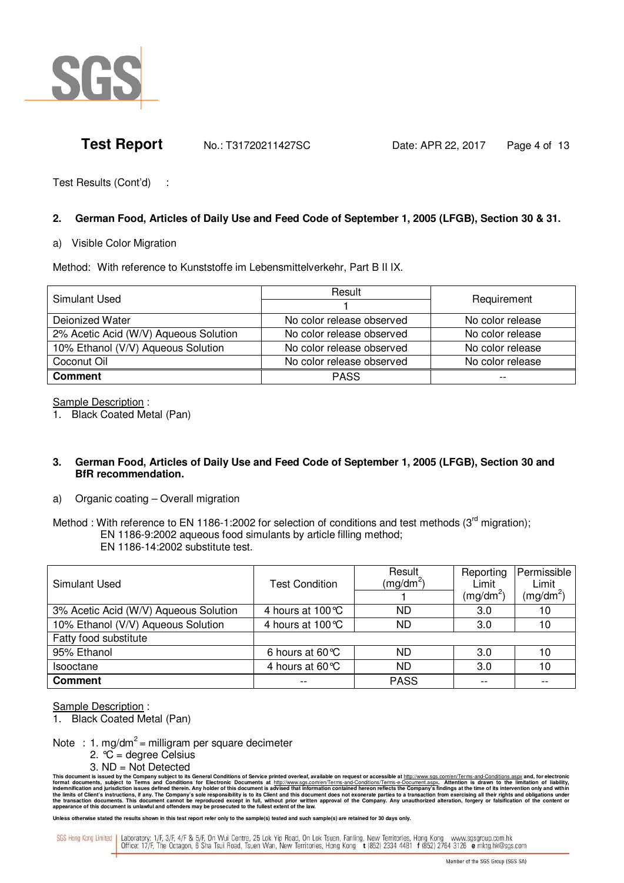

**Test Report** No.: T31720211427SC Date: APR 22, 2017 Page 4 of 13

Test Results (Cont'd) :

# **2. German Food, Articles of Daily Use and Feed Code of September 1, 2005 (LFGB), Section 30 & 31.**

### a) Visible Color Migration

Method: With reference to Kunststoffe im Lebensmittelverkehr, Part B II IX.

| Simulant Used                         | Result                    | Requirement      |  |
|---------------------------------------|---------------------------|------------------|--|
|                                       |                           |                  |  |
| Deionized Water                       | No color release observed | No color release |  |
| 2% Acetic Acid (W/V) Aqueous Solution | No color release observed | No color release |  |
| 10% Ethanol (V/V) Aqueous Solution    | No color release observed | No color release |  |
| Coconut Oil                           | No color release observed | No color release |  |
| <b>Comment</b>                        | <b>PASS</b>               | $- -$            |  |

Sample Description :

1. Black Coated Metal (Pan)

### **3. German Food, Articles of Daily Use and Feed Code of September 1, 2005 (LFGB), Section 30 and BfR recommendation.**

a) Organic coating – Overall migration

Method : With reference to EN 1186-1:2002 for selection of conditions and test methods ( $3<sup>rd</sup>$  migration); EN 1186-9:2002 aqueous food simulants by article filling method; EN 1186-14:2002 substitute test.

| Simulant Used                         | <b>Test Condition</b>      | Result<br>$(mg/dm^2)$ | Reporting<br>Limit<br>$(mg/dm^2)$ | Permissible<br>Limit<br>$(mg/dm^2)$ |
|---------------------------------------|----------------------------|-----------------------|-----------------------------------|-------------------------------------|
| 3% Acetic Acid (W/V) Aqueous Solution | 4 hours at $100^{\circ}$ C | ND                    | 3.0                               | 10                                  |
| 10% Ethanol (V/V) Aqueous Solution    | 4 hours at 100 °C          | ND                    | 3.0                               | 10                                  |
| Fatty food substitute                 |                            |                       |                                   |                                     |
| 95% Ethanol                           | 6 hours at $60^{\circ}$ C  | ND                    | 3.0                               | 10                                  |
| <b>Isooctane</b>                      | 4 hours at 60 °C           | ND                    | 3.0                               | 10                                  |
| <b>Comment</b>                        | $- -$                      | <b>PASS</b>           | $- -$                             | --                                  |

Sample Description :

1. Black Coated Metal (Pan)

Note : 1. mg/dm<sup>2</sup> = milligram per square decimeter

- 2. °C = degree Celsius
- 3. ND = Not Detected

Unless otherwise stated the results shown in this test report refer only to the sample(s) tested and such sample(s) are retained for 30 days only.

This document is issued by the Company subject to its General Conditions of Service printed overleaf, available on request or accessible at http://www.sgs.com/en/Terms-and-Conditions.aspx and, for electronic<br>format documen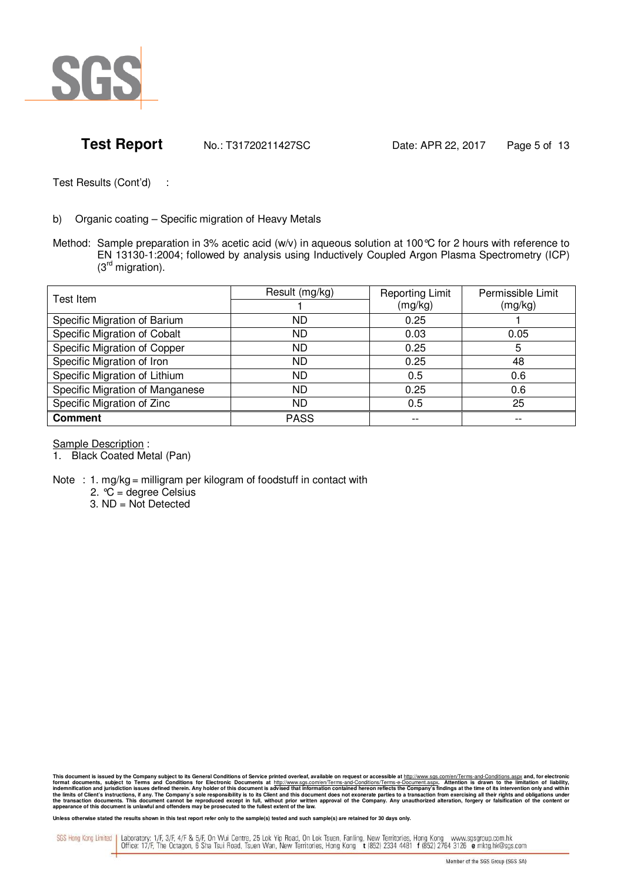

**Test Report** No.: T31720211427SC Date: APR 22, 2017 Page 5 of 13

Test Results (Cont'd) :

- b) Organic coating Specific migration of Heavy Metals
- Method: Sample preparation in 3% acetic acid (w/v) in aqueous solution at 100°C for 2 hours with reference to EN 13130-1:2004; followed by analysis using Inductively Coupled Argon Plasma Spectrometry (ICP)  $\overline{3}^{\text{rd}}$  migration).

| Test Item                       | Result (mg/kg) | <b>Reporting Limit</b> | Permissible Limit |
|---------------------------------|----------------|------------------------|-------------------|
|                                 |                | (mg/kg)                | (mg/kg)           |
| Specific Migration of Barium    | ND             | 0.25                   |                   |
| Specific Migration of Cobalt    | ND             | 0.03                   | 0.05              |
| Specific Migration of Copper    | ND             | 0.25                   | 5                 |
| Specific Migration of Iron      | ND             | 0.25                   | 48                |
| Specific Migration of Lithium   | ND             | 0.5                    | 0.6               |
| Specific Migration of Manganese | ND             | 0.25                   | 0.6               |
| Specific Migration of Zinc      | ND             | 0.5                    | 25                |
| <b>Comment</b>                  | <b>PASS</b>    | --                     | --                |

Sample Description :

- 1. Black Coated Metal (Pan)
- Note : 1. mg/kg = milligram per kilogram of foodstuff in contact with

2. °C = degree Celsius

3. ND = Not Detected

This document is issued by the Company subject to its General Conditions of Service printed overleaf, available on request or accessible at http://www.sgs.com/en/Terms-and-Conditions.aspx and, for electronic<br>format documen

Unless otherwise stated the results shown in this test report refer only to the sample(s) tested and such sample(s) are retained for 30 days only.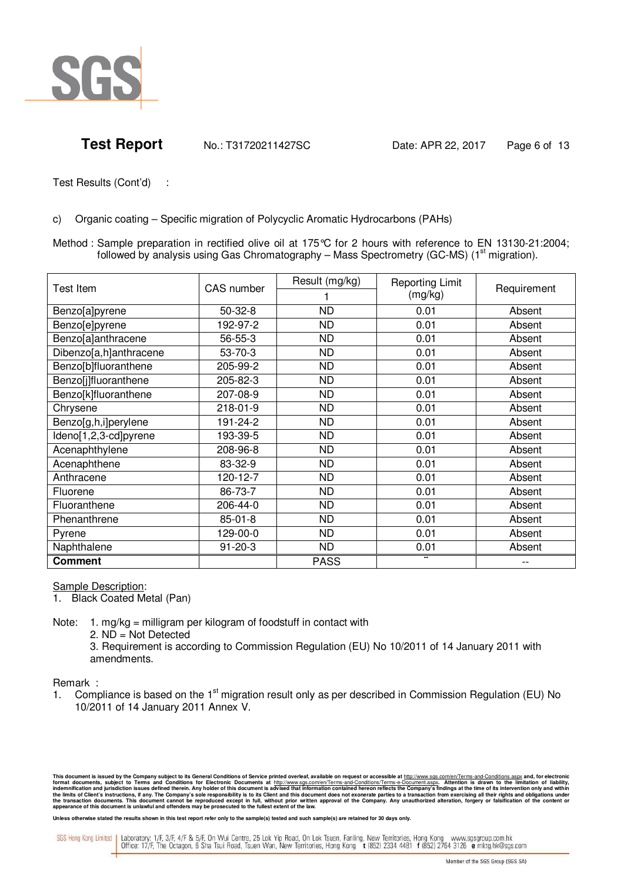

c) Organic coating – Specific migration of Polycyclic Aromatic Hydrocarbons (PAHs)

Method : Sample preparation in rectified olive oil at 175°C for 2 hours with reference to EN 13130-21:2004; followed by analysis using Gas Chromatography – Mass Spectrometry (GC-MS) ( $1<sup>st</sup>$  migration).

| Test Item              | CAS number    | Result (mg/kg) | <b>Reporting Limit</b> | Requirement |
|------------------------|---------------|----------------|------------------------|-------------|
|                        |               |                | (mg/kg)                |             |
| Benzo[a]pyrene         | $50-32-8$     | <b>ND</b>      | 0.01                   | Absent      |
| Benzo[e]pyrene         | 192-97-2      | <b>ND</b>      | 0.01                   | Absent      |
| Benzo[a]anthracene     | 56-55-3       | <b>ND</b>      | 0.01                   | Absent      |
| Dibenzo[a,h]anthracene | $53 - 70 - 3$ | ND.            | 0.01                   | Absent      |
| Benzo[b]fluoranthene   | 205-99-2      | <b>ND</b>      | 0.01                   | Absent      |
| Benzo[j]fluoranthene   | 205-82-3      | <b>ND</b>      | 0.01                   | Absent      |
| Benzo[k]fluoranthene   | 207-08-9      | <b>ND</b>      | 0.01                   | Absent      |
| Chrysene               | 218-01-9      | <b>ND</b>      | 0.01                   | Absent      |
| Benzo[g,h,i]perylene   | 191-24-2      | <b>ND</b>      | 0.01                   | Absent      |
| Ideno[1,2,3-cd]pyrene  | 193-39-5      | <b>ND</b>      | 0.01                   | Absent      |
| Acenaphthylene         | 208-96-8      | <b>ND</b>      | 0.01                   | Absent      |
| Acenaphthene           | 83-32-9       | <b>ND</b>      | 0.01                   | Absent      |
| Anthracene             | 120-12-7      | <b>ND</b>      | 0.01                   | Absent      |
| Fluorene               | 86-73-7       | <b>ND</b>      | 0.01                   | Absent      |
| Fluoranthene           | 206-44-0      | <b>ND</b>      | 0.01                   | Absent      |
| Phenanthrene           | $85 - 01 - 8$ | <b>ND</b>      | 0.01                   | Absent      |
| Pyrene                 | 129-00-0      | <b>ND</b>      | 0.01                   | Absent      |
| Naphthalene            | $91 - 20 - 3$ | <b>ND</b>      | 0.01                   | Absent      |
| <b>Comment</b>         |               | <b>PASS</b>    |                        |             |

### Sample Description:

- 1. Black Coated Metal (Pan)
- Note: 1. mg/kg = milligram per kilogram of foodstuff in contact with
	- 2. ND = Not Detected
	- 3. Requirement is according to Commission Regulation (EU) No 10/2011 of 14 January 2011 with amendments.

### Remark :

1. Compliance is based on the 1<sup>st</sup> migration result only as per described in Commission Regulation (EU) No 10/2011 of 14 January 2011 Annex V.

This document is issued by the Company subject to its General Conditions of Service printed overleaf, available on request or accessible at http://www.sgs.com/en/Terms-and-Conditions.aspx and, for electronic<br>format documen

Unless otherwise stated the results shown in this test report refer only to the sample(s) tested and such sample(s) are retained for 30 days only.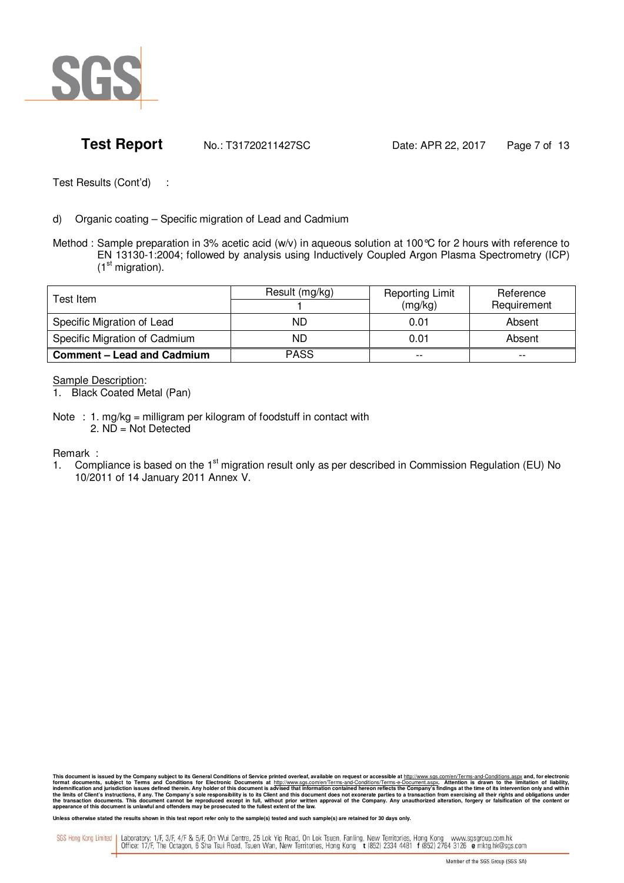

**Test Report** No.: T31720211427SC Date: APR 22, 2017 Page 7 of 13

Test Results (Cont'd) :

- d) Organic coating Specific migration of Lead and Cadmium
- Method : Sample preparation in 3% acetic acid (w/v) in aqueous solution at 100 °C for 2 hours with reference to EN 13130-1:2004; followed by analysis using Inductively Coupled Argon Plasma Spectrometry (ICP)  $(1<sup>st</sup> migration).$

| Test Item.                        | Result (mg/kg) | <b>Reporting Limit</b><br>(mg/kg) | Reference<br>Requirement |
|-----------------------------------|----------------|-----------------------------------|--------------------------|
| Specific Migration of Lead        | ND             | 0.01                              | Absent                   |
| Specific Migration of Cadmium     | ND             | 0.01                              | Absent                   |
| <b>Comment - Lead and Cadmium</b> | <b>PASS</b>    | $- -$                             | $- -$                    |

**Sample Description:** 

1. Black Coated Metal (Pan)

Note : 1. mg/kg = milligram per kilogram of foodstuff in contact with 2. ND = Not Detected

Remark :

1. Compliance is based on the 1<sup>st</sup> migration result only as per described in Commission Regulation (EU) No 10/2011 of 14 January 2011 Annex V.

This document is issued by the Company subject to its General Conditions of Service printed overleaf, available on request or accessible at http://www.sgs.com/en/Terms-and-Conditions.aspx and, for electronic<br>format documen

Unless otherwise stated the results shown in this test report refer only to the sample(s) tested and such sample(s) are retained for 30 days only.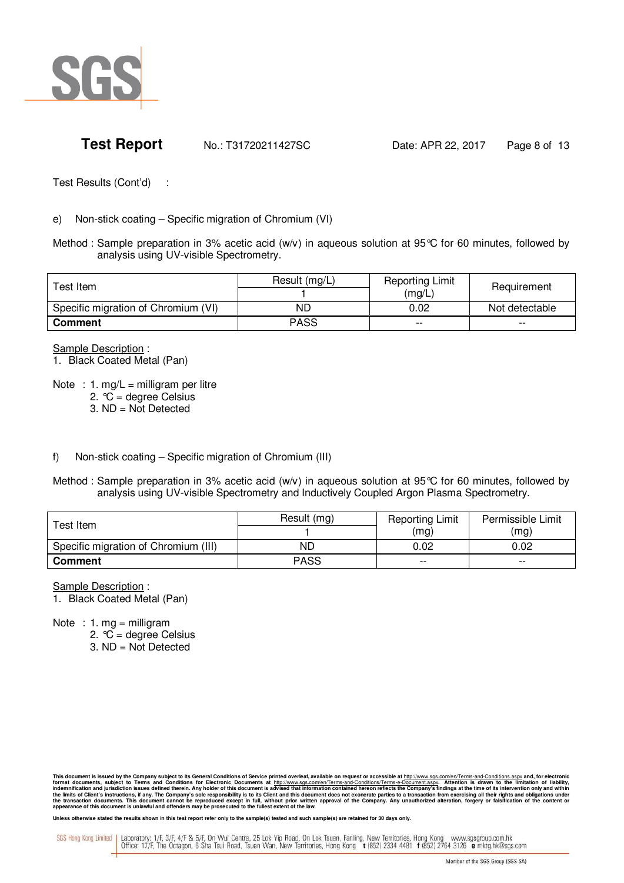

e) Non-stick coating – Specific migration of Chromium (VI)

Method : Sample preparation in 3% acetic acid (w/v) in aqueous solution at 95°C for 60 minutes, followed by analysis using UV-visible Spectrometry.

| Test Item                           | Result (mg/L) | <b>Reporting Limit</b><br>(mg/L) | Requirement    |
|-------------------------------------|---------------|----------------------------------|----------------|
| Specific migration of Chromium (VI) | ND            | 0.02                             | Not detectable |
| Comment                             | <b>PASS</b>   | $- -$                            | $- -$          |

Sample Description :

1. Black Coated Metal (Pan)

- Note : 1. mg/L = milligram per litre
	- 2.  ${}^{\circ}\!C$  = degree Celsius
	- 3. ND = Not Detected

f) Non-stick coating – Specific migration of Chromium (III)

Method : Sample preparation in 3% acetic acid (w/v) in aqueous solution at 95°C for 60 minutes, followed by analysis using UV-visible Spectrometry and Inductively Coupled Argon Plasma Spectrometry.

| ⊺est Item                            | Result (mg) | <b>Reporting Limit</b> | Permissible Limit |
|--------------------------------------|-------------|------------------------|-------------------|
|                                      | (mq)        |                        | (mg)              |
| Specific migration of Chromium (III) | ND          | 0.02                   | 0.02              |
| <b>Comment</b>                       | <b>PASS</b> | $- -$                  | $- -$             |

Sample Description :

1. Black Coated Metal (Pan)

Note : 1. mg = milligram

2. °C = degree Celsius

3. ND = Not Detected

This document is issued by the Company subject to its General Conditions of Service printed overleaf, available on request or accessible at http://www.sgs.com/en/Terms-and-Conditions.aspx and, for electronic<br>format documen

Unless otherwise stated the results shown in this test report refer only to the sample(s) tested and such sample(s) are retained for 30 days only.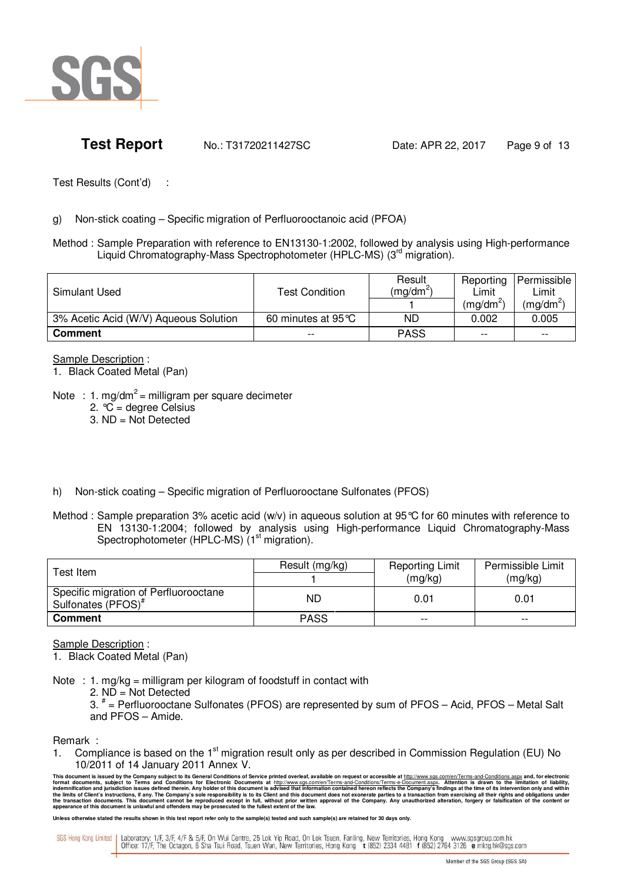

**Test Report** No.: T31720211427SC Date: APR 22, 2017 Page 9 of 13

Test Results (Cont'd) :

### g) Non-stick coating – Specific migration of Perfluorooctanoic acid (PFOA)

Method : Sample Preparation with reference to EN13130-1:2002, followed by analysis using High-performance Liquid Chromatography-Mass Spectrophotometer (HPLC-MS) (3<sup>rd</sup> migration).

| Simulant Used                         | <b>Test Condition</b> | Result<br>(mg/dm <sup>2)</sup> | Reporting<br>Limit<br>$(mq/dm^2)$ | Permissible<br>Limit<br>(mg/dm <sup>2</sup> ) |
|---------------------------------------|-----------------------|--------------------------------|-----------------------------------|-----------------------------------------------|
| 3% Acetic Acid (W/V) Aqueous Solution | 60 minutes at 95 °C   | ND                             | 0.002                             | 0.005                                         |
| <b>Comment</b>                        | $- -$                 | <b>PASS</b>                    | $- -$                             | $- -$                                         |

Sample Description :

- 1. Black Coated Metal (Pan)
- Note : 1. mg/dm<sup>2</sup> = milligram per square decimeter
	- 2.  ${}^{\circ}\!C$  = degree Celsius
	- 3. ND = Not Detected
- h) Non-stick coating Specific migration of Perfluorooctane Sulfonates (PFOS)
- Method : Sample preparation 3% acetic acid (w/v) in aqueous solution at 95 °C for 60 minutes with reference to EN 13130-1:2004; followed by analysis using High-performance Liquid Chromatography-Mass Spectrophotometer (HPLC-MS) (1<sup>st</sup> migration).

| Test Item                                                               | Result (mg/kg) | <b>Reporting Limit</b> | Permissible Limit |  |
|-------------------------------------------------------------------------|----------------|------------------------|-------------------|--|
|                                                                         |                | (mg/kg)                | (mg/kg)           |  |
| Specific migration of Perfluorooctane<br>Sulfonates (PFOS) <sup>#</sup> | ND             | 0.01                   | 0.01              |  |
| <b>Comment</b>                                                          | <b>PASS</b>    | --                     | $- -$             |  |

Sample Description :

1. Black Coated Metal (Pan)

- Note : 1. mg/kg = milligram per kilogram of foodstuff in contact with
	- 2. ND = Not Detected

 3. # = Perfluorooctane Sulfonates (PFOS) are represented by sum of PFOS – Acid, PFOS – Metal Salt and PFOS – Amide.

Remark :

1. Compliance is based on the 1<sup>st</sup> migration result only as per described in Commission Regulation (EU) No 10/2011 of 14 January 2011 Annex V.

This document is issued by the Company subject to its General Conditions of Service printed overleaf, available on request or accessible at http://www.sgs.com/en/Terms-and-Conditions.aspx and, for electronic<br>format documen

Unless otherwise stated the results shown in this test report refer only to the sample(s) tested and such sample(s) are retained for 30 days only.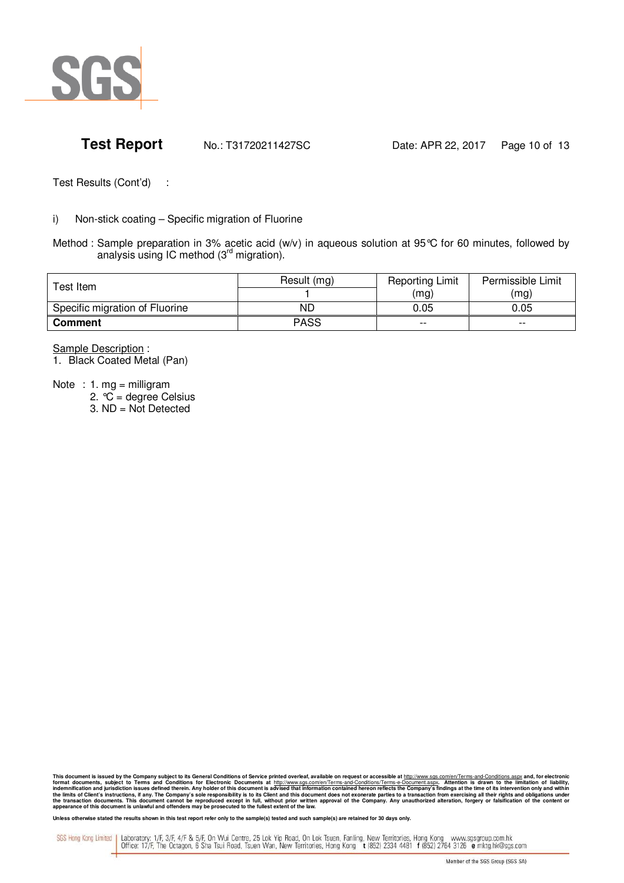

# **Test Report** No.: T31720211427SC Date: APR 22, 2017 Page 10 of 13

Test Results (Cont'd) :

### i) Non-stick coating – Specific migration of Fluorine

Method : Sample preparation in 3% acetic acid (w/v) in aqueous solution at 95°C for 60 minutes, followed by analysis using IC method (3rd migration).

| Test Item                      | Result (mg) | <b>Reporting Limit</b> | Permissible Limit |  |
|--------------------------------|-------------|------------------------|-------------------|--|
|                                |             | (mg)                   | (mg)              |  |
| Specific migration of Fluorine | ND          | 0.05                   | 0.05              |  |
| <b>Comment</b>                 | <b>PASS</b> | $- -$                  | $- -$             |  |

Sample Description :

1. Black Coated Metal (Pan)

Note : 1. mg = milligram

- 2.  ${}^{\circ}\!C$  = degree Celsius
- 3. ND = Not Detected

This document is issued by the Company subject to its General Conditions of Service printed overleaf, available on request or accessible at http://www.sgs.com/en/Terms-and-Conditions.aspx and, for electronic<br>format documen

Unless otherwise stated the results shown in this test report refer only to the sample(s) tested and such sample(s) are retained for 30 days only.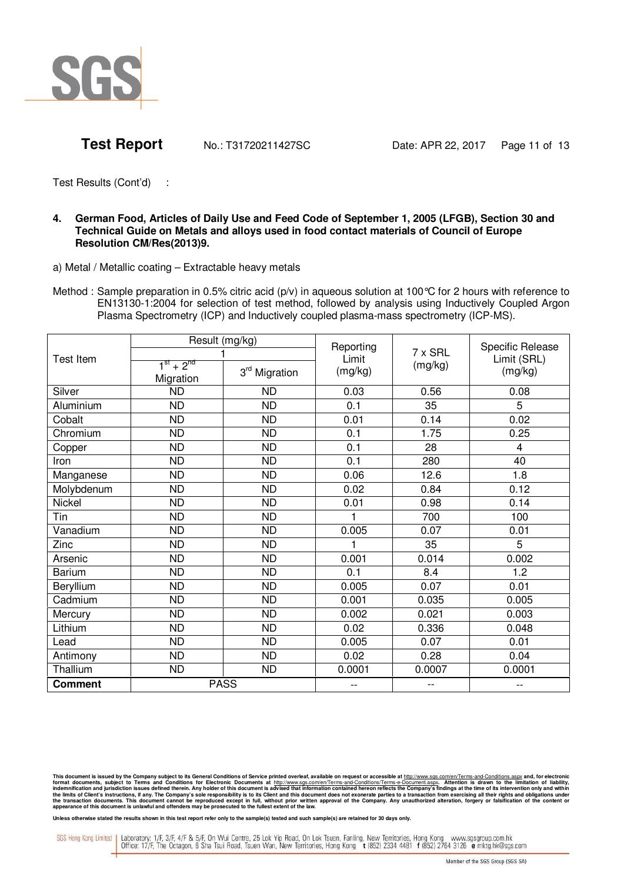

### **4. German Food, Articles of Daily Use and Feed Code of September 1, 2005 (LFGB), Section 30 and Technical Guide on Metals and alloys used in food contact materials of Council of Europe Resolution CM/Res(2013)9.**

a) Metal / Metallic coating – Extractable heavy metals

Method : Sample preparation in 0.5% citric acid  $(p/v)$  in aqueous solution at 100 °C for 2 hours with reference to EN13130-1:2004 for selection of test method, followed by analysis using Inductively Coupled Argon Plasma Spectrometry (ICP) and Inductively coupled plasma-mass spectrometry (ICP-MS).

| <b>Test Item</b> | Result (mg/kg)<br>$1^{st} + 2^{nd}$<br>3rd Migration |             | Reporting<br>Limit<br>(mg/kg) | 7 x SRL<br>(mg/kg) | Specific Release<br>Limit (SRL)<br>(mg/kg) |
|------------------|------------------------------------------------------|-------------|-------------------------------|--------------------|--------------------------------------------|
| Silver           | Migration<br><b>ND</b>                               | <b>ND</b>   | 0.03                          | 0.56               | 0.08                                       |
| Aluminium        | <b>ND</b>                                            | <b>ND</b>   | 0.1                           | 35                 | 5                                          |
| Cobalt           | <b>ND</b>                                            | <b>ND</b>   | 0.01                          | 0.14               | 0.02                                       |
| Chromium         | <b>ND</b>                                            | <b>ND</b>   | 0.1                           | 1.75               | 0.25                                       |
| Copper           | <b>ND</b>                                            | <b>ND</b>   | 0.1                           | 28                 | 4                                          |
| Iron             | <b>ND</b>                                            | <b>ND</b>   | 0.1                           | 280                | 40                                         |
| Manganese        | <b>ND</b>                                            | <b>ND</b>   | 0.06                          | 12.6               | 1.8                                        |
| Molybdenum       | <b>ND</b>                                            | <b>ND</b>   | 0.02                          | 0.84               | 0.12                                       |
| Nickel           | <b>ND</b>                                            | <b>ND</b>   | 0.01                          | 0.98               | 0.14                                       |
| Tin              | <b>ND</b>                                            | <b>ND</b>   |                               | 700                | 100                                        |
| Vanadium         | <b>ND</b>                                            | <b>ND</b>   | 0.005                         | 0.07               | 0.01                                       |
| Zinc             | <b>ND</b>                                            | <b>ND</b>   |                               | 35                 | 5                                          |
| Arsenic          | <b>ND</b>                                            | <b>ND</b>   | 0.001                         | 0.014              | 0.002                                      |
| <b>Barium</b>    | <b>ND</b>                                            | <b>ND</b>   | 0.1                           | 8.4                | 1.2                                        |
| Beryllium        | <b>ND</b>                                            | <b>ND</b>   | 0.005                         | 0.07               | 0.01                                       |
| Cadmium          | <b>ND</b>                                            | <b>ND</b>   | 0.001                         | 0.035              | 0.005                                      |
| Mercury          | <b>ND</b>                                            | <b>ND</b>   | 0.002                         | 0.021              | 0.003                                      |
| Lithium          | <b>ND</b>                                            | <b>ND</b>   | 0.02                          | 0.336              | 0.048                                      |
| Lead             | <b>ND</b>                                            | <b>ND</b>   | 0.005                         | 0.07               | 0.01                                       |
| Antimony         | <b>ND</b>                                            | <b>ND</b>   | 0.02                          | 0.28               | 0.04                                       |
| Thallium         | <b>ND</b>                                            | <b>ND</b>   | 0.0001                        | 0.0007             | 0.0001                                     |
| <b>Comment</b>   |                                                      | <b>PASS</b> | --                            | --                 | $-$                                        |

This document is issued by the Company subject to its General Conditions of Service printed overleaf, available on request or accessible at http://www.sgs.com/en/Terms-and-Conditions.aspx and, for electronic<br>format documen

Unless otherwise stated the results shown in this test report refer only to the sample(s) tested and such sample(s) are retained for 30 days only.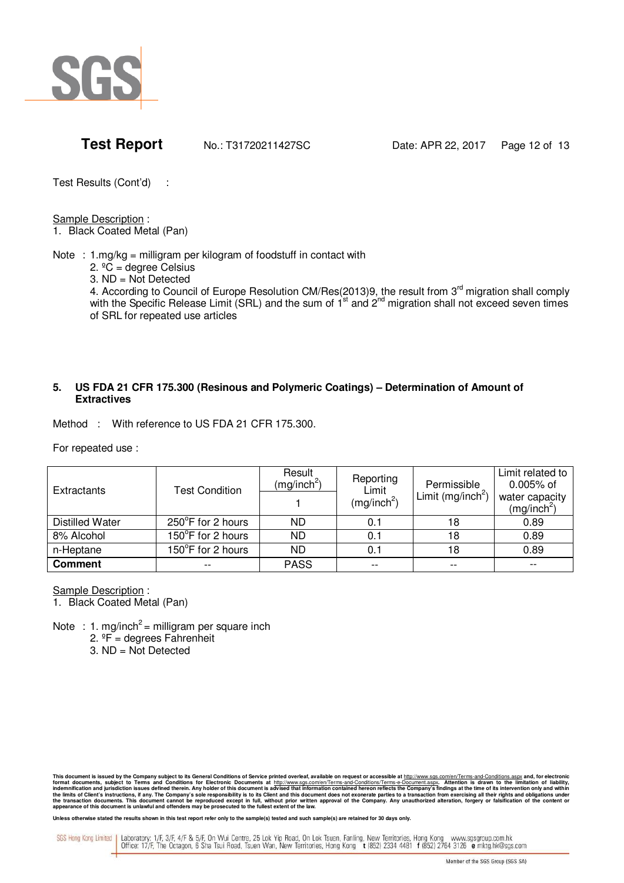

Sample Description :

1. Black Coated Metal (Pan)

Note :  $1.mg/kg =$  milligram per kilogram of foodstuff in contact with

2.  ${}^{\circ}\tilde{C}$  = degree Celsius

3. ND = Not Detected

4. According to Council of Europe Resolution CM/Res(2013)9, the result from 3<sup>rd</sup> migration shall comply with the Specific Release Limit (SRL) and the sum of 1<sup>st</sup> and 2<sup>nd</sup> migration shall not exceed seven times of SRL for repeated use articles

## **5. US FDA 21 CFR 175.300 (Resinous and Polymeric Coatings) – Determination of Amount of Extractives**

Method : With reference to US FDA 21 CFR 175.300.

For repeated use :

| Extractants     | <b>Test Condition</b> | Result<br>(mg/inch <sup>2</sup> ) | Reporting<br>Limit<br>(mg/inch <sup>2</sup> ) | Permissible<br>Limit (mg/inch <sup>2</sup> ) | Limit related to<br>$0.005%$ of<br>water capacity<br>(mg/inch <sup>2</sup> ) |
|-----------------|-----------------------|-----------------------------------|-----------------------------------------------|----------------------------------------------|------------------------------------------------------------------------------|
| Distilled Water | 250°F for 2 hours     | ND.                               | 0.1                                           | 18                                           | 0.89                                                                         |
| 8% Alcohol      | 150°F for 2 hours     | ND.                               | 0.1                                           | 18                                           | 0.89                                                                         |
| n-Heptane       | 150°F for 2 hours     | ND                                | 0.1                                           | 18                                           | 0.89                                                                         |
| <b>Comment</b>  |                       | <b>PASS</b>                       | $-$                                           | --                                           |                                                                              |

Sample Description :

1. Black Coated Metal (Pan)

Note : 1. mg/inch<sup>2</sup> = milligram per square inch

 $2. \n\degree$ F = degrees Fahrenheit

3. ND = Not Detected

This document is issued by the Company subject to its General Conditions of Service printed overleaf, available on request or accessible at http://www.sgs.com/en/Terms-and-Conditions.aspx and, for electronic<br>format documen

Unless otherwise stated the results shown in this test report refer only to the sample(s) tested and such sample(s) are retained for 30 days only.